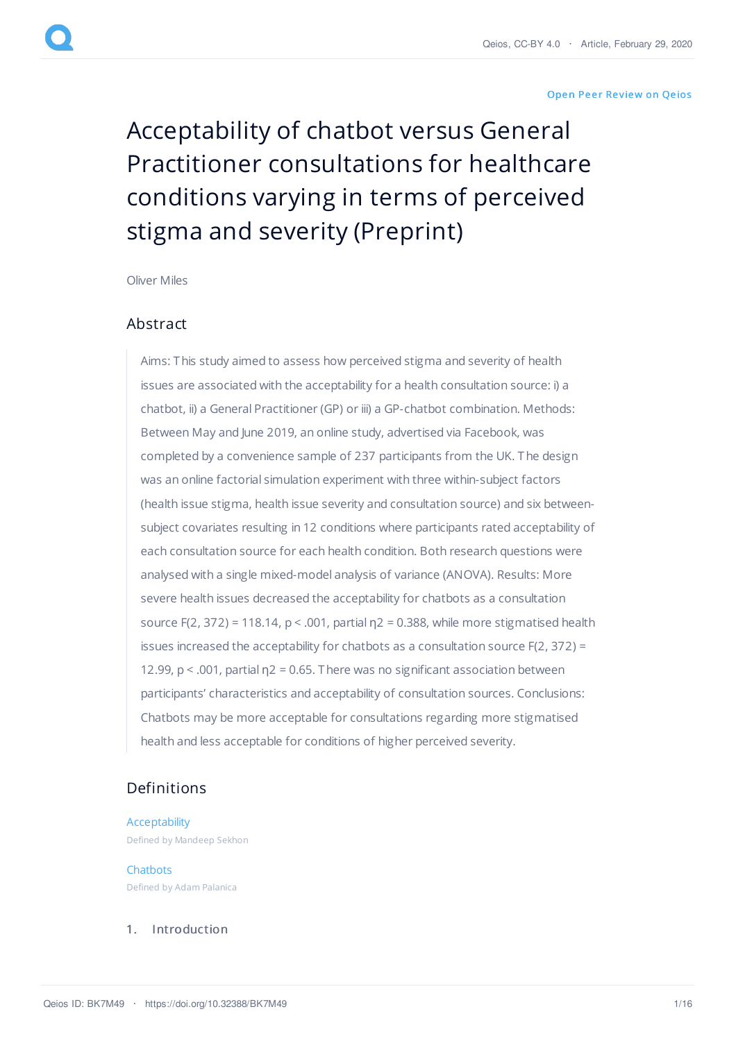#### Open Peer [Review](https://www.qeios.com/read/article/516#reviews) on Qeios

# Acceptability of chatbot versus General Practitioner consultations for healthcare conditions varying in terms of perceived stigma and severity (Preprint)

[Oliver](https://www.qeios.com/profile/1751) Miles

# Abstract

Aims: This study aimed to assess how perceived stigma and severity of health issues are associated with the acceptability for a health consultation source: i) a chatbot, ii) a General Practitioner (GP) or iii) a GP-chatbot combination. Methods: Between May and June 2019, an online study, advertised via Facebook, was completed by a convenience sample of 237 participants from the UK. The design was an online factorial simulation experiment with three within-subject factors (health issue stigma, health issue severity and consultation source) and six betweensubject covariates resulting in 12 conditions where participants rated acceptability of each consultation source for each health condition. Both research questions were analysed with a single mixed-model analysis of variance (ANOVA). Results: More severe health issues decreased the acceptability for chatbots as a consultation source F(2, 372) = 118.14,  $p < .001$ , partial  $p2 = 0.388$ , while more stigmatised health issues increased the acceptability for chatbots as a consultation source F(2, 372) = 12.99,  $p < .001$ , partial  $n^2 = 0.65$ . There was no significant association between participants' characteristics and acceptability of consultation sources. Conclusions: Chatbots may be more acceptable for consultations regarding more stigmatised health and less acceptable for conditions of higher perceived severity.

# Definitions

[Acceptability](https://www.qeios.com/read/definition/632) Defined by Mandeep Sekhon

**[Chatbots](https://www.qeios.com/read/definition/633)** Defined by Adam Palanica

#### 1. Introduction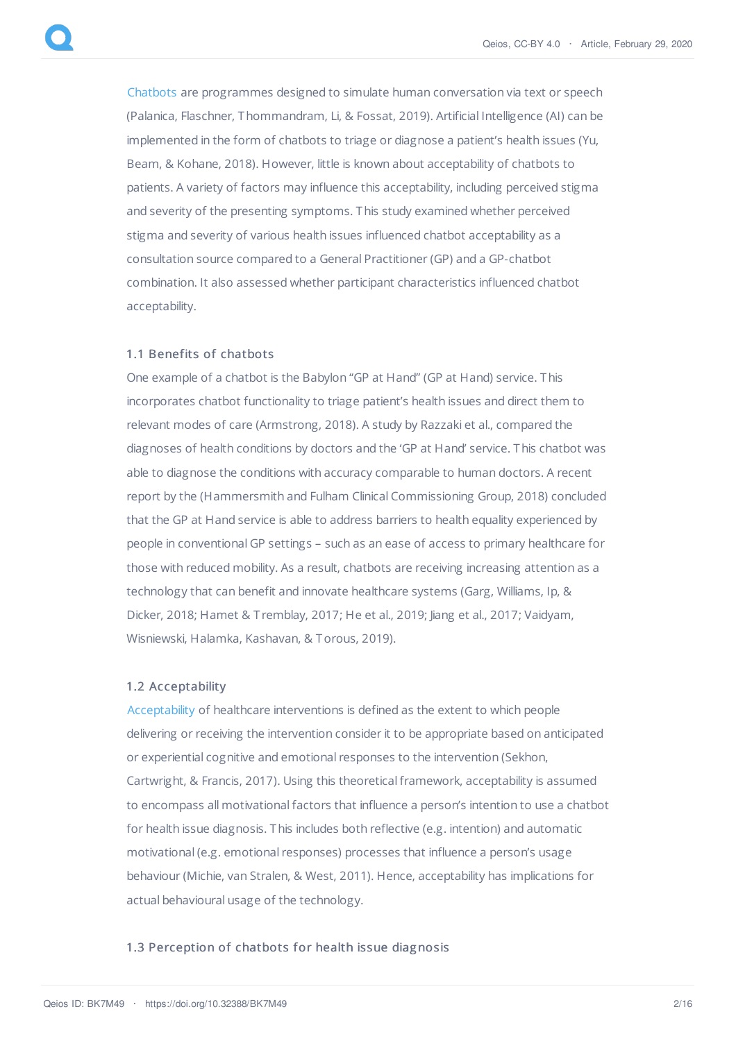[Chatbots](https://www.qeios.com/read/definition/633) are programmes designed to simulate human conversation via text or speech (Palanica, Flaschner, Thommandram, Li, & Fossat, 2019). Artificial Intelligence (AI) can be implemented in the form of chatbots to triage or diagnose a patient's health issues (Yu, Beam, & Kohane, 2018). However, little is known about acceptability of chatbots to patients. A variety of factors may influence this acceptability, including perceived stigma and severity of the presenting symptoms. This study examined whether perceived stigma and severity of various health issues influenced chatbot acceptability as a consultation source compared to a General Practitioner (GP) and a GP-chatbot combination. It also assessed whether participant characteristics influenced chatbot acceptability.

## 1.1 Benefits of chatbots

One example of a chatbot is the Babylon "GP at Hand" (GP at Hand) service. This incorporates chatbot functionality to triage patient's health issues and direct them to relevant modes of care (Armstrong, 2018). A study by Razzaki et al., compared the diagnoses of health conditions by doctors and the 'GP at Hand' service. This chatbot was able to diagnose the conditions with accuracy comparable to human doctors. A recent report by the (Hammersmith and Fulham Clinical Commissioning Group, 2018) concluded that the GP at Hand service is able to address barriers to health equality experienced by people in conventional GP settings – such as an ease of access to primary healthcare for those with reduced mobility. As a result, chatbots are receiving increasing attention as a technology that can benefit and innovate healthcare systems (Garg, Williams, Ip, & Dicker, 2018; Hamet & T remblay, 2017; He et al., 2019; Jiang et al., 2017; Vaidyam, Wisniewski, Halamka, Kashavan, & Torous, 2019).

#### 1.2 Acceptability

[Acceptability](https://www.qeios.com/read/definition/632) of healthcare interventions is defined as the extent to which people delivering or receiving the intervention consider it to be appropriate based on anticipated or experiential cognitive and emotional responses to the intervention (Sekhon, Cartwright, & Francis, 2017). Using this theoretical framework, acceptability is assumed to encompass all motivational factors that influence a person's intention to use a chatbot for health issue diagnosis. This includes both reflective (e.g. intention) and automatic motivational (e.g. emotional responses) processes that influence a person's usage behaviour (Michie, van Stralen, & West, 2011). Hence, acceptability has implications for actual behavioural usage of the technology.

# 1.3 Perception of chatbots for health issue diagnosis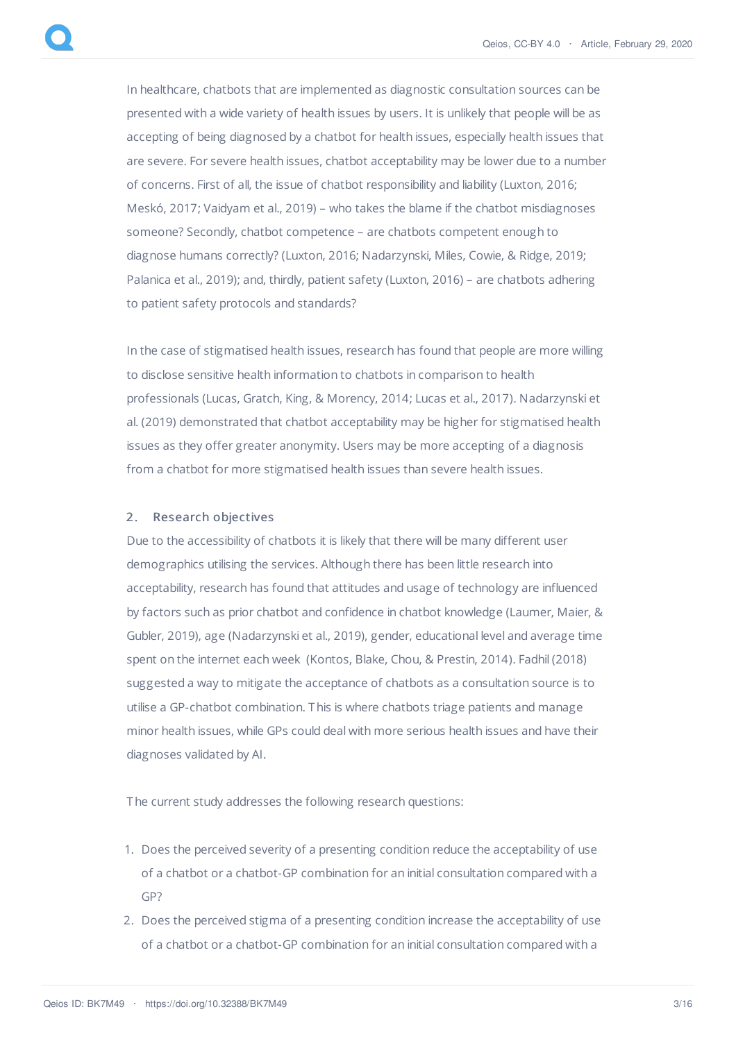In healthcare, chatbots that are implemented as diagnostic consultation sources can be presented with a wide variety of health issues by users. It is unlikely that people will be as accepting of being diagnosed by a chatbot for health issues, especially health issues that are severe. For severe health issues, chatbot acceptability may be lower due to a number of concerns. First of all, the issue of chatbot responsibility and liability (Luxton, 2016; Meskó, 2017; Vaidyam et al., 2019) – who takes the blame if the chatbot misdiagnoses someone? Secondly, chatbot competence – are chatbots competent enough to diagnose humans correctly? (Luxton, 2016; Nadarzynski, Miles, Cowie, & Ridge, 2019; Palanica et al., 2019); and, thirdly, patient safety (Luxton, 2016) – are chatbots adhering to patient safety protocols and standards?

In the case of stigmatised health issues, research has found that people are more willing to disclose sensitive health information to chatbots in comparison to health professionals (Lucas, Gratch, King, & Morency, 2014; Lucas et al., 2017). Nadarzynski et al. (2019) demonstrated that chatbot acceptability may be higher for stigmatised health issues as they offer greater anonymity. Users may be more accepting of a diagnosis from a chatbot for more stigmatised health issues than severe health issues.

## 2. Research objectives

Due to the accessibility of chatbots it is likely that there will be many different user demographics utilising the services. Although there has been little research into acceptability, research has found that attitudes and usage of technology are influenced by factors such as prior chatbot and confidence in chatbot knowledge (Laumer, Maier, & Gubler, 2019), age (Nadarzynski et al., 2019), gender, educational level and average time spent on the internet each week (Kontos, Blake, Chou, & Prestin, 2014). Fadhil (2018) suggested a way to mitigate the acceptance of chatbots as a consultation source is to utilise a GP-chatbot combination. This is where chatbots triage patients and manage minor health issues, while GPs could deal with more serious health issues and have their diagnoses validated by AI.

The current study addresses the following research questions:

- 1. Does the perceived severity of a presenting condition reduce the acceptability of use of a chatbot or a chatbot-GP combination for an initial consultation compared with a GP?
- 2. Does the perceived stigma of a presenting condition increase the acceptability of use of a chatbot or a chatbot-GP combination for an initial consultation compared with a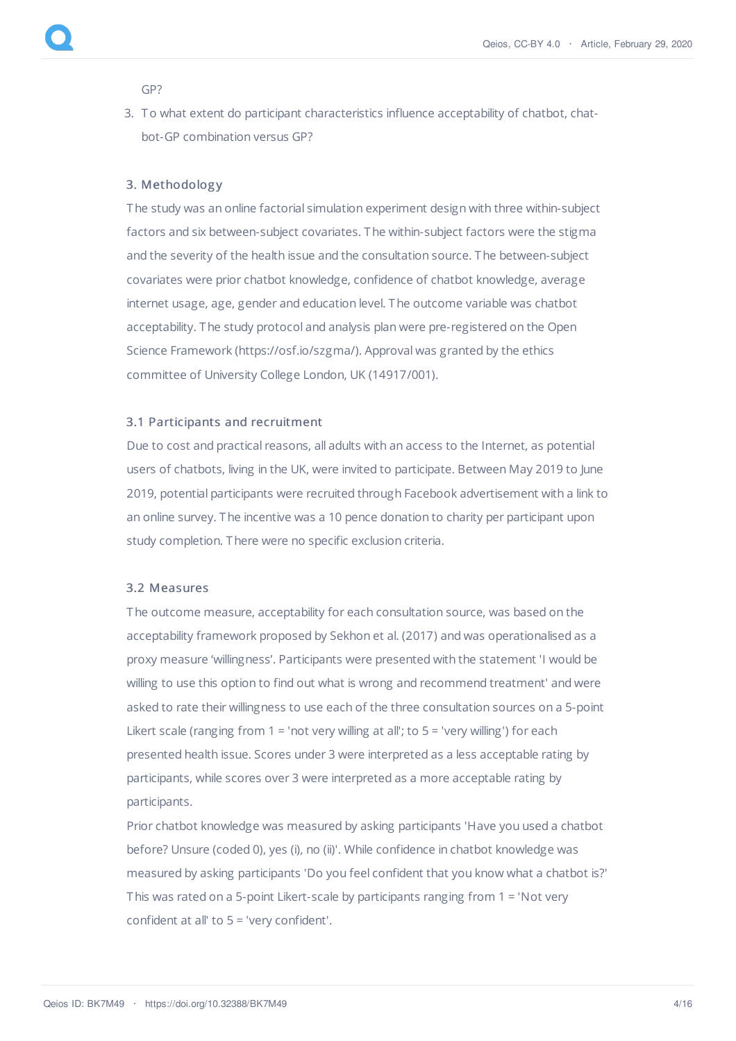GP?

3. To what extent do participant characteristics influence acceptability of chatbot, chatbot-GP combination versus GP?

# 3. Methodolog y

The study was an online factorial simulation experiment design with three within-subject factors and six between-subject covariates. The within-subject factors were the stigma and the severity of the health issue and the consultation source. The between-subject covariates were prior chatbot knowledge, confidence of chatbot knowledge, average internet usage, age, gender and education level. The outcome variable was chatbot acceptability. The study protocol and analysis plan were pre-registered on the Open Science Framework (https://osf.io/szgma/). Approval was granted by the ethics committee of University College London, UK (14917/001).

#### 3.1 Participants and recruitment

Due to cost and practical reasons, all adults with an access to the Internet, as potential users of chatbots, living in the UK, were invited to participate. Between May 2019 to June 2019, potential participants were recruited through Facebook advertisement with a link to an online survey. The incentive was a 10 pence donation to charity per participant upon study completion. There were no specific exclusion criteria.

# 3.2 Measures

The outcome measure, acceptability for each consultation source, was based on the acceptability framework proposed by Sekhon et al. (2017) and was operationalised as a proxy measure 'willingness'. Participants were presented with the statement 'I would be willing to use this option to find out what is wrong and recommend treatment' and were asked to rate their willingness to use each of the three consultation sources on a 5-point Likert scale (ranging from  $1 =$  'not very willing at all'; to  $5 =$  'very willing') for each presented health issue. Scores under 3 were interpreted as a less acceptable rating by participants, while scores over 3 were interpreted as a more acceptable rating by participants.

Prior chatbot knowledge was measured by asking participants 'Have you used a chatbot before? Unsure (coded 0), yes (i), no (ii)'. While confidence in chatbot knowledge was measured by asking participants 'Do you feel confident that you know what a chatbot is?' This was rated on a 5-point Likert-scale by participants ranging from 1 = 'Not very confident at all' to 5 = 'very confident'.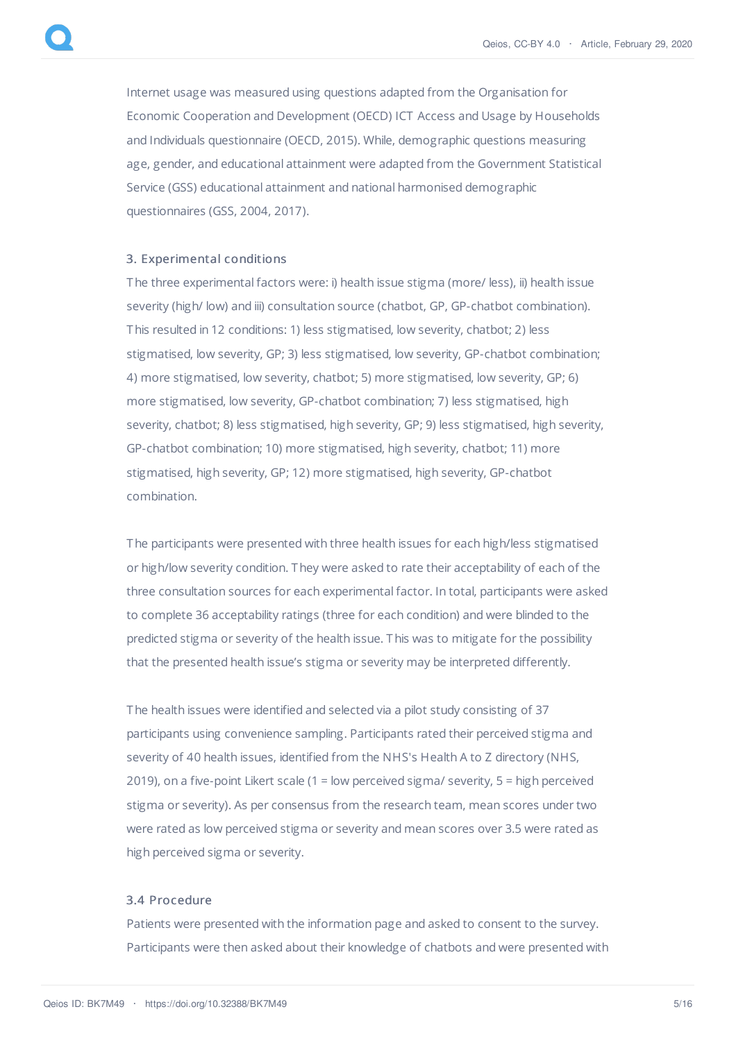Internet usage was measured using questions adapted from the Organisation for Economic Cooperation and Development (OECD) ICT Access and Usage by Households and Individuals questionnaire (OECD, 2015). While, demographic questions measuring age, gender, and educational attainment were adapted from the Government Statistical Service (GSS) educational attainment and national harmonised demographic questionnaires (GSS, 2004, 2017).

# 3. Experimental conditions

The three experimental factors were: i) health issue stigma (more/ less), ii) health issue severity (high/ low) and iii) consultation source (chatbot, GP, GP-chatbot combination). This resulted in 12 conditions: 1) less stigmatised, low severity, chatbot; 2) less stigmatised, low severity, GP; 3) less stigmatised, low severity, GP-chatbot combination; 4) more stigmatised, low severity, chatbot; 5) more stigmatised, low severity, GP; 6) more stigmatised, low severity, GP-chatbot combination; 7) less stigmatised, high severity, chatbot; 8) less stigmatised, high severity, GP; 9) less stigmatised, high severity, GP-chatbot combination; 10) more stigmatised, high severity, chatbot; 11) more stigmatised, high severity, GP; 12) more stigmatised, high severity, GP-chatbot combination.

The participants were presented with three health issues for each high/less stigmatised or high/low severity condition. They were asked to rate their acceptability of each of the three consultation sources for each experimental factor. In total, participants were asked to complete 36 acceptability ratings (three for each condition) and were blinded to the predicted stigma or severity of the health issue. This was to mitigate for the possibility that the presented health issue's stigma or severity may be interpreted differently.

The health issues were identified and selected via a pilot study consisting of 37 participants using convenience sampling. Participants rated their perceived stigma and severity of 40 health issues, identified from the NHS's Health A to Z directory (NHS, 2019), on a five-point Likert scale (1 = low perceived sigma/ severity, 5 = high perceived stigma or severity). As per consensus from the research team, mean scores under two were rated as low perceived stigma or severity and mean scores over 3.5 were rated as high perceived sigma or severity.

# 3.4 Procedure

Patients were presented with the information page and asked to consent to the survey. Participants were then asked about their knowledge of chatbots and were presented with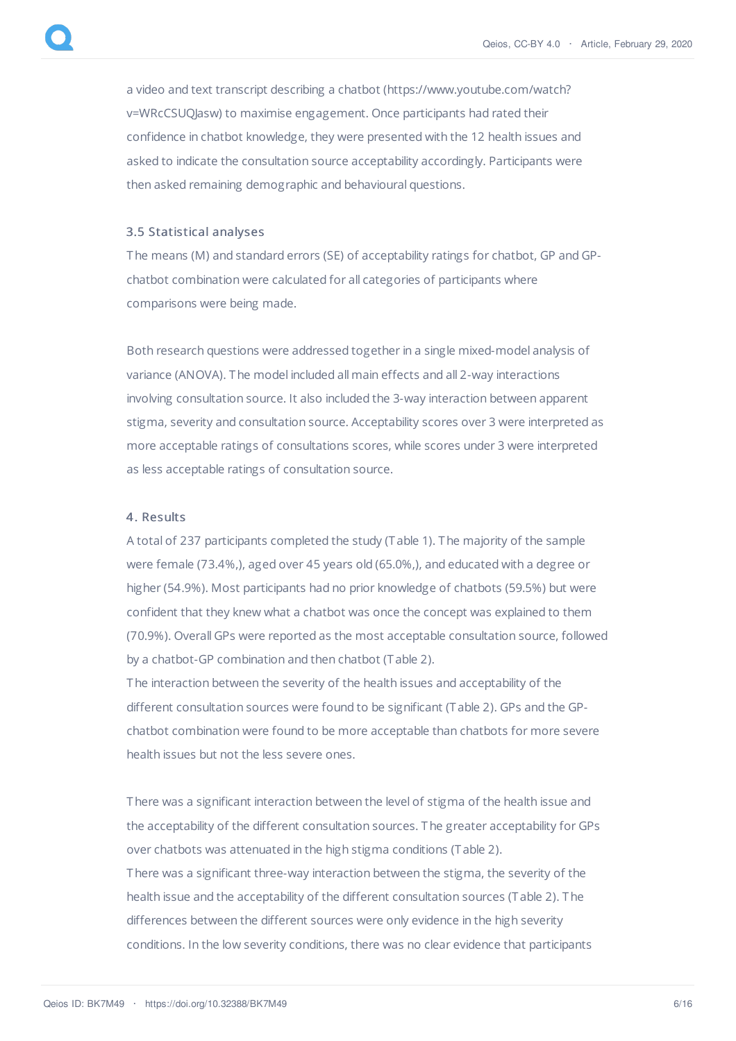a video and text transcript describing a chatbot (https://www.youtube.com/watch? v=WRcCSUQJasw) to maximise engagement. Once participants had rated their confidence in chatbot knowledge, they were presented with the 12 health issues and asked to indicate the consultation source acceptability accordingly. Participants were then asked remaining demographic and behavioural questions.

#### 3.5 Statistical analyses

The means (M) and standard errors (SE) of acceptability ratings for chatbot, GP and GPchatbot combination were calculated for all categories of participants where comparisons were being made.

Both research questions were addressed together in a single mixed-model analysis of variance (ANOVA). The model included all main effects and all 2-way interactions involving consultation source. It also included the 3-way interaction between apparent stigma, severity and consultation source. Acceptability scores over 3 were interpreted as more acceptable ratings of consultations scores, while scores under 3 were interpreted as less acceptable ratings of consultation source.

## 4. Results

A total of 237 participants completed the study (T able 1). The majority of the sample were female (73.4%,), aged over 45 years old (65.0%,), and educated with a degree or higher (54.9%). Most participants had no prior knowledge of chatbots (59.5%) but were confident that they knew what a chatbot was once the concept was explained to them (70.9%). Overall GPs were reported as the most acceptable consultation source, followed by a chatbot-GP combination and then chatbot (T able 2).

The interaction between the severity of the health issues and acceptability of the different consultation sources were found to be significant (T able 2). GPs and the GPchatbot combination were found to be more acceptable than chatbots for more severe health issues but not the less severe ones.

There was a significant interaction between the level of stigma of the health issue and the acceptability of the different consultation sources. The greater acceptability for GPs over chatbots was attenuated in the high stigma conditions (T able 2). There was a significant three-way interaction between the stigma, the severity of the health issue and the acceptability of the different consultation sources (T able 2). The differences between the different sources were only evidence in the high severity conditions. In the low severity conditions, there was no clear evidence that participants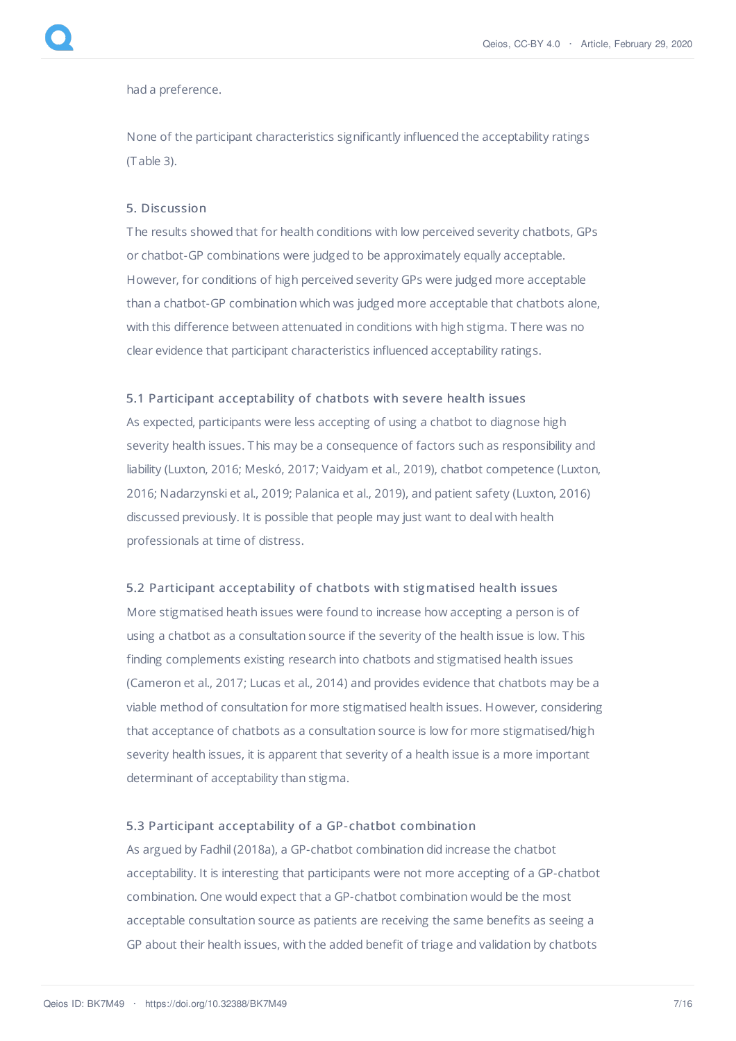had a preference.

None of the participant characteristics significantly influenced the acceptability ratings (T able 3).

# 5. Discussion

The results showed that for health conditions with low perceived severity chatbots, GPs or chatbot-GP combinations were judged to be approximately equally acceptable. However, for conditions of high perceived severity GPs were judged more acceptable than a chatbot-GP combination which was judged more acceptable that chatbots alone, with this difference between attenuated in conditions with high stigma. There was no clear evidence that participant characteristics influenced acceptability ratings.

# 5.1 Participant acceptability of chatbots with severe health issues

As expected, participants were less accepting of using a chatbot to diagnose high severity health issues. This may be a consequence of factors such as responsibility and liability (Luxton, 2016; Meskó, 2017; Vaidyam et al., 2019), chatbot competence (Luxton, 2016; Nadarzynski et al., 2019; Palanica et al., 2019), and patient safety (Luxton, 2016) discussed previously. It is possible that people may just want to deal with health professionals at time of distress.

# 5.2 Participant acceptability of chatbots with stigmatised health issues

More stigmatised heath issues were found to increase how accepting a person is of using a chatbot as a consultation source if the severity of the health issue is low. This finding complements existing research into chatbots and stigmatised health issues (Cameron et al., 2017; Lucas et al., 2014) and provides evidence that chatbots may be a viable method of consultation for more stigmatised health issues. However, considering that acceptance of chatbots as a consultation source is low for more stigmatised/high severity health issues, it is apparent that severity of a health issue is a more important determinant of acceptability than stigma.

#### 5.3 Participant acceptability of a GP- chatbot combination

As argued by Fadhil (2018a), a GP-chatbot combination did increase the chatbot acceptability. It is interesting that participants were not more accepting of a GP-chatbot combination. One would expect that a GP-chatbot combination would be the most acceptable consultation source as patients are receiving the same benefits as seeing a GP about their health issues, with the added benefit of triage and validation by chatbots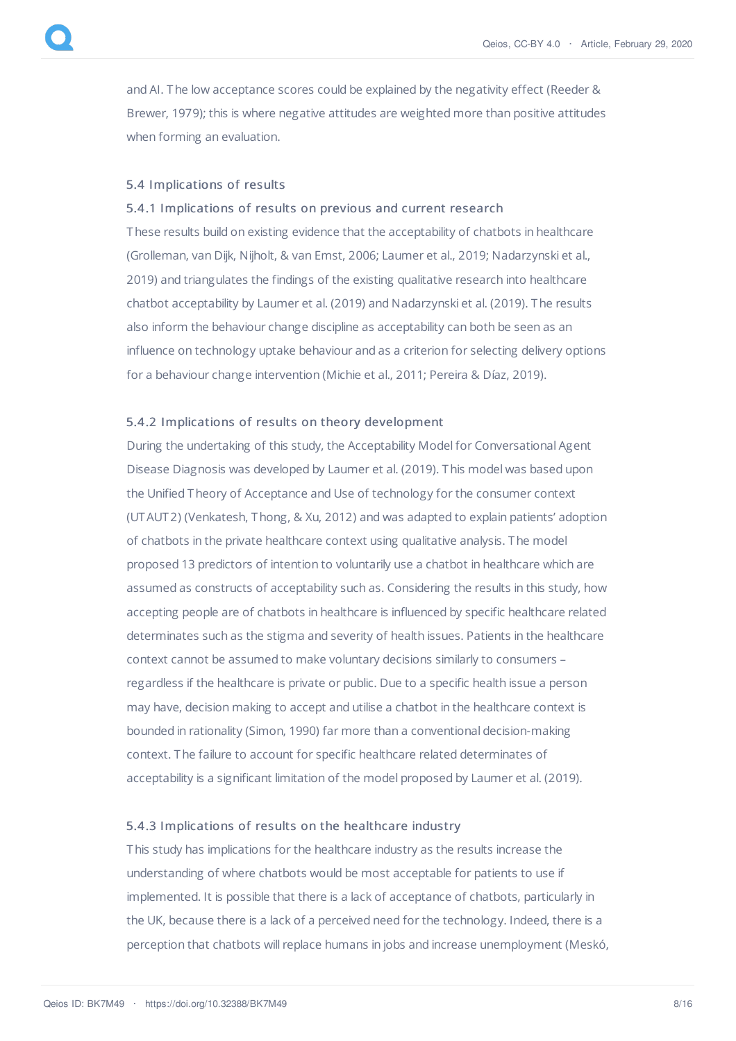and AI. The low acceptance scores could be explained by the negativity effect (Reeder & Brewer, 1979); this is where negative attitudes are weighted more than positive attitudes when forming an evaluation.

# 5.4 Implications of results

# 5.4.1 Implications of results on previous and current research

These results build on existing evidence that the acceptability of chatbots in healthcare (Grolleman, van Dijk, Nijholt, & van Emst, 2006; Laumer et al., 2019; Nadarzynski et al., 2019) and triangulates the findings of the existing qualitative research into healthcare chatbot acceptability by Laumer et al. (2019) and Nadarzynski et al. (2019). The results also inform the behaviour change discipline as acceptability can both be seen as an influence on technology uptake behaviour and as a criterion for selecting delivery options for a behaviour change intervention (Michie et al., 2011; Pereira & Díaz, 2019).

#### 5.4.2 Implications of results on theory development

During the undertaking of this study, the Acceptability Model for Conversational Agent Disease Diagnosis was developed by Laumer et al. (2019). This model was based upon the Unified Theory of Acceptance and Use of technology for the consumer context (UTAUT2) (Venkatesh, Thong, & Xu, 2012) and was adapted to explain patients' adoption of chatbots in the private healthcare context using qualitative analysis. The model proposed 13 predictors of intention to voluntarily use a chatbot in healthcare which are assumed as constructs of acceptability such as. Considering the results in this study, how accepting people are of chatbots in healthcare is influenced by specific healthcare related determinates such as the stigma and severity of health issues. Patients in the healthcare context cannot be assumed to make voluntary decisions similarly to consumers – regardless if the healthcare is private or public. Due to a specific health issue a person may have, decision making to accept and utilise a chatbot in the healthcare context is bounded in rationality (Simon, 1990) far more than a conventional decision-making context. The failure to account for specific healthcare related determinates of acceptability is a significant limitation of the model proposed by Laumer et al. (2019).

#### 5.4.3 Implications of results on the healthcare industry

This study has implications for the healthcare industry as the results increase the understanding of where chatbots would be most acceptable for patients to use if implemented. It is possible that there is a lack of acceptance of chatbots, particularly in the UK, because there is a lack of a perceived need for the technology. Indeed, there is a perception that chatbots will replace humans in jobs and increase unemployment (Meskó,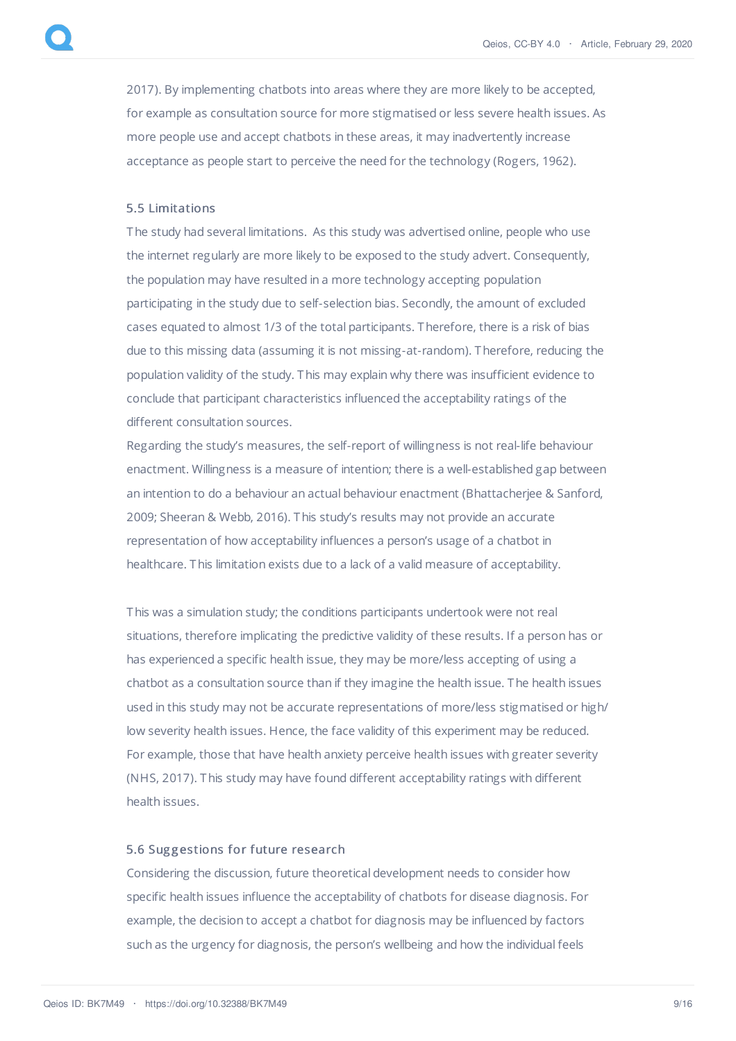2017). By implementing chatbots into areas where they are more likely to be accepted, for example as consultation source for more stigmatised or less severe health issues. As more people use and accept chatbots in these areas, it may inadvertently increase acceptance as people start to perceive the need for the technology (Rogers, 1962).

# 5.5 Limitations

The study had several limitations. As this study was advertised online, people who use the internet regularly are more likely to be exposed to the study advert. Consequently, the population may have resulted in a more technology accepting population participating in the study due to self-selection bias. Secondly, the amount of excluded cases equated to almost 1/3 of the total participants. Therefore, there is a risk of bias due to this missing data (assuming it is not missing-at-random). Therefore, reducing the population validity of the study. This may explain why there was insufficient evidence to conclude that participant characteristics influenced the acceptability ratings of the different consultation sources.

Regarding the study's measures, the self-report of willingness is not real-life behaviour enactment. Willingness is a measure of intention; there is a well-established gap between an intention to do a behaviour an actual behaviour enactment (Bhattacherjee & Sanford, 2009; Sheeran & Webb, 2016). This study's results may not provide an accurate representation of how acceptability influences a person's usage of a chatbot in healthcare. This limitation exists due to a lack of a valid measure of acceptability.

This was a simulation study; the conditions participants undertook were not real situations, therefore implicating the predictive validity of these results. If a person has or has experienced a specific health issue, they may be more/less accepting of using a chatbot as a consultation source than if they imagine the health issue. The health issues used in this study may not be accurate representations of more/less stigmatised or high/ low severity health issues. Hence, the face validity of this experiment may be reduced. For example, those that have health anxiety perceive health issues with greater severity (NHS, 2017). This study may have found different acceptability ratings with different health issues.

#### 5.6 Suggestions for future research

Considering the discussion, future theoretical development needs to consider how specific health issues influence the acceptability of chatbots for disease diagnosis. For example, the decision to accept a chatbot for diagnosis may be influenced by factors such as the urgency for diagnosis, the person's wellbeing and how the individual feels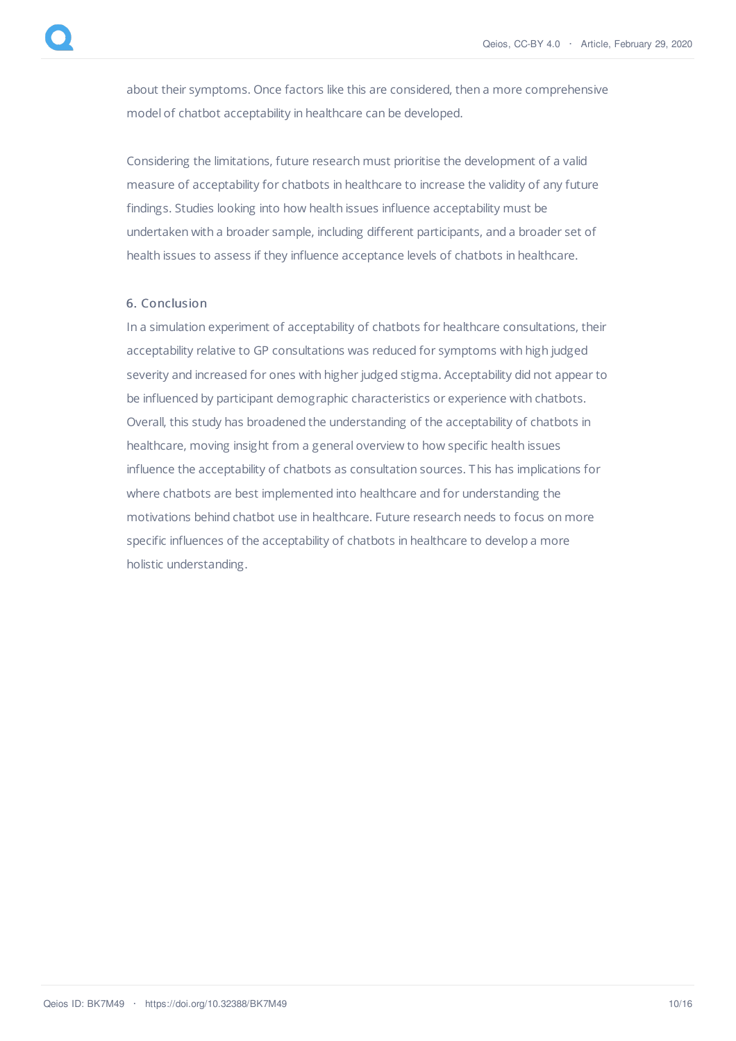about their symptoms. Once factors like this are considered, then a more comprehensive model of chatbot acceptability in healthcare can be developed.

Considering the limitations, future research must prioritise the development of a valid measure of acceptability for chatbots in healthcare to increase the validity of any future findings. Studies looking into how health issues influence acceptability must be undertaken with a broader sample, including different participants, and a broader set of health issues to assess if they influence acceptance levels of chatbots in healthcare.

# 6. Conclusion

In a simulation experiment of acceptability of chatbots for healthcare consultations, their acceptability relative to GP consultations was reduced for symptoms with high judged severity and increased for ones with higher judged stigma. Acceptability did not appear to be influenced by participant demographic characteristics or experience with chatbots. Overall, this study has broadened the understanding of the acceptability of chatbots in healthcare, moving insight from a general overview to how specific health issues influence the acceptability of chatbots as consultation sources. This has implications for where chatbots are best implemented into healthcare and for understanding the motivations behind chatbot use in healthcare. Future research needs to focus on more specific influences of the acceptability of chatbots in healthcare to develop a more holistic understanding.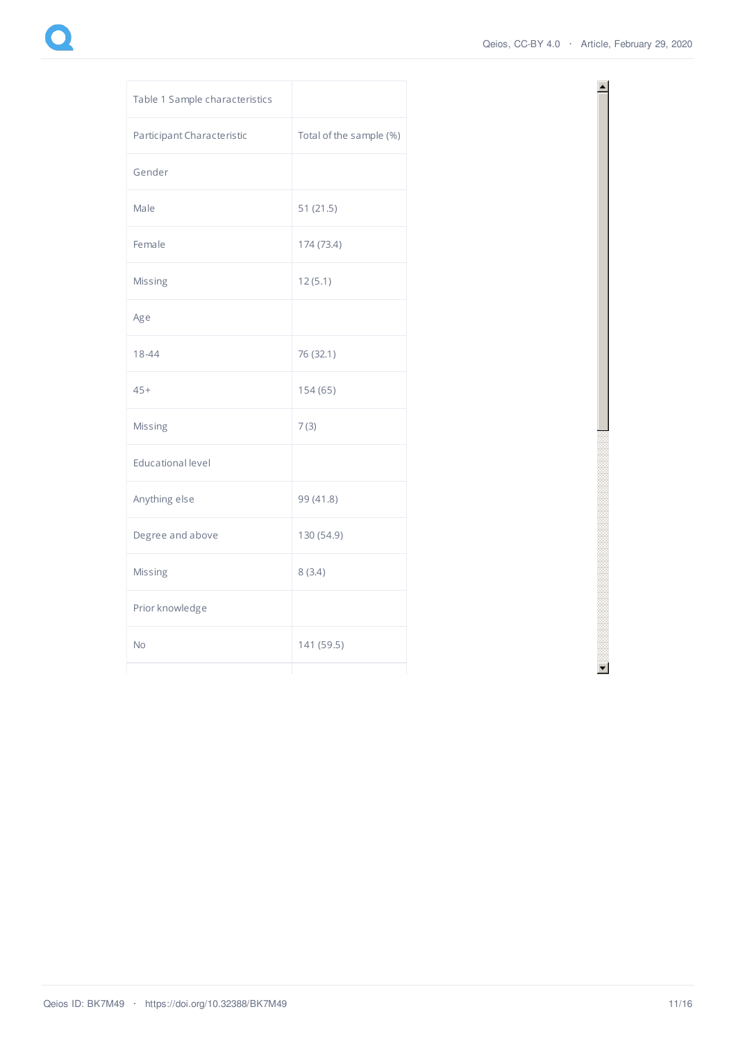≜

| Table 1 Sample characteristics |                         |
|--------------------------------|-------------------------|
| Participant Characteristic     | Total of the sample (%) |
| Gender                         |                         |
| Male                           | 51(21.5)                |
| Female                         | 174 (73.4)              |
| Missing                        | 12(5.1)                 |
| Age                            |                         |
| $18 - 44$                      | 76 (32.1)               |
| $45+$                          | 154 (65)                |
| Missing                        | 7(3)                    |
| <b>Educational level</b>       |                         |
| Anything else                  | 99 (41.8)               |
| Degree and above               | 130 (54.9)              |
| Missing                        | 8(3.4)                  |
| Prior knowledge                |                         |
| No                             | 141 (59.5)              |

 $\blacksquare$  . The contract of the contract of the contract of the contract of the contract of the contract of the contract of the contract of the contract of the contract of the contract of the contract of the contract of the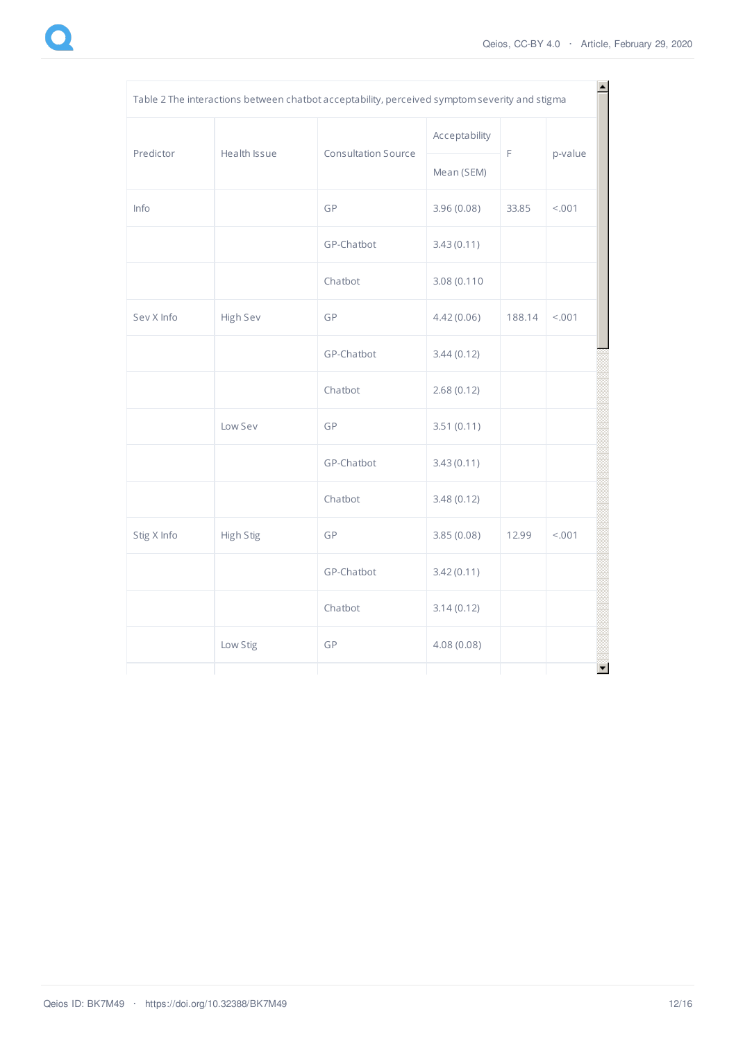| Table 2 The interactions between chatbot acceptability, perceived symptom severity and stigma |              |                            |               |        |         |  |  |
|-----------------------------------------------------------------------------------------------|--------------|----------------------------|---------------|--------|---------|--|--|
| Predictor                                                                                     | Health Issue | <b>Consultation Source</b> | Acceptability | F      | p-value |  |  |
|                                                                                               |              |                            | Mean (SEM)    |        |         |  |  |
| Info                                                                                          |              | GP                         | 3.96(0.08)    | 33.85  | < .001  |  |  |
|                                                                                               |              | GP-Chatbot                 | 3.43(0.11)    |        |         |  |  |
|                                                                                               |              | Chatbot                    | 3.08 (0.110   |        |         |  |  |
| Sev X Info                                                                                    | High Sev     | GP                         | 4.42(0.06)    | 188.14 | < .001  |  |  |
|                                                                                               |              | GP-Chatbot                 | 3.44(0.12)    |        |         |  |  |
|                                                                                               |              | Chatbot                    | 2.68(0.12)    |        |         |  |  |
|                                                                                               | Low Sev      | GP                         | 3.51(0.11)    |        |         |  |  |
|                                                                                               |              | GP-Chatbot                 | 3.43(0.11)    |        |         |  |  |
|                                                                                               |              | Chatbot                    | 3.48(0.12)    |        |         |  |  |
| Stig X Info                                                                                   | High Stig    | GP                         | 3.85(0.08)    | 12.99  | < .001  |  |  |
|                                                                                               |              | GP-Chatbot                 | 3.42(0.11)    |        |         |  |  |
|                                                                                               |              | Chatbot                    | 3.14(0.12)    |        |         |  |  |
|                                                                                               | Low Stig     | GP                         | 4.08(0.08)    |        |         |  |  |
|                                                                                               |              |                            |               |        |         |  |  |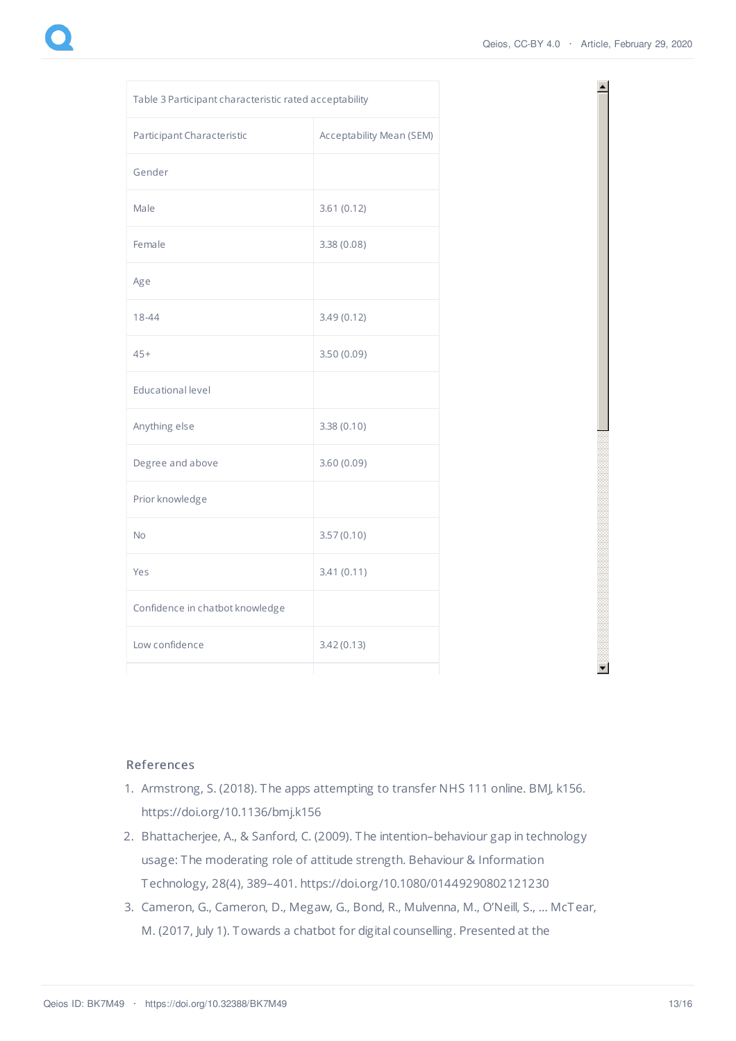$\blacktriangle$ 

| Table 3 Participant characteristic rated acceptability |                          |  |  |
|--------------------------------------------------------|--------------------------|--|--|
| Participant Characteristic                             | Acceptability Mean (SEM) |  |  |
| Gender                                                 |                          |  |  |
| Male                                                   | 3.61(0.12)               |  |  |
| Female                                                 | 3.38 (0.08)              |  |  |
| Age                                                    |                          |  |  |
| 18-44                                                  | 3.49(0.12)               |  |  |
| $45+$                                                  | 3.50(0.09)               |  |  |
| <b>Educational level</b>                               |                          |  |  |
| Anything else                                          | 3.38(0.10)               |  |  |
| Degree and above                                       | 3.60 (0.09)              |  |  |
| Prior knowledge                                        |                          |  |  |
| <b>No</b>                                              | 3.57(0.10)               |  |  |
| Yes                                                    | 3.41(0.11)               |  |  |
| Confidence in chatbot knowledge                        |                          |  |  |
| Low confidence                                         | 3.42(0.13)               |  |  |



- 1. Armstrong, S. (2018). The apps attempting to transfer NHS 111 online. BMJ, k156. https://doi.org/10.1136/bmj.k156
- 2. Bhattacherjee, A., & Sanford, C. (2009). The intention–behaviour gap in technology usage: The moderating role of attitude strength. Behaviour & Information Technology, 28(4), 389–401. https://doi.org/10.1080/01449290802121230
- 3. Cameron, G., Cameron, D., Megaw, G., Bond, R., Mulvenna, M., O'Neill, S., … McTear, M. (2017, July 1). Towards a chatbot for digital counselling. Presented at the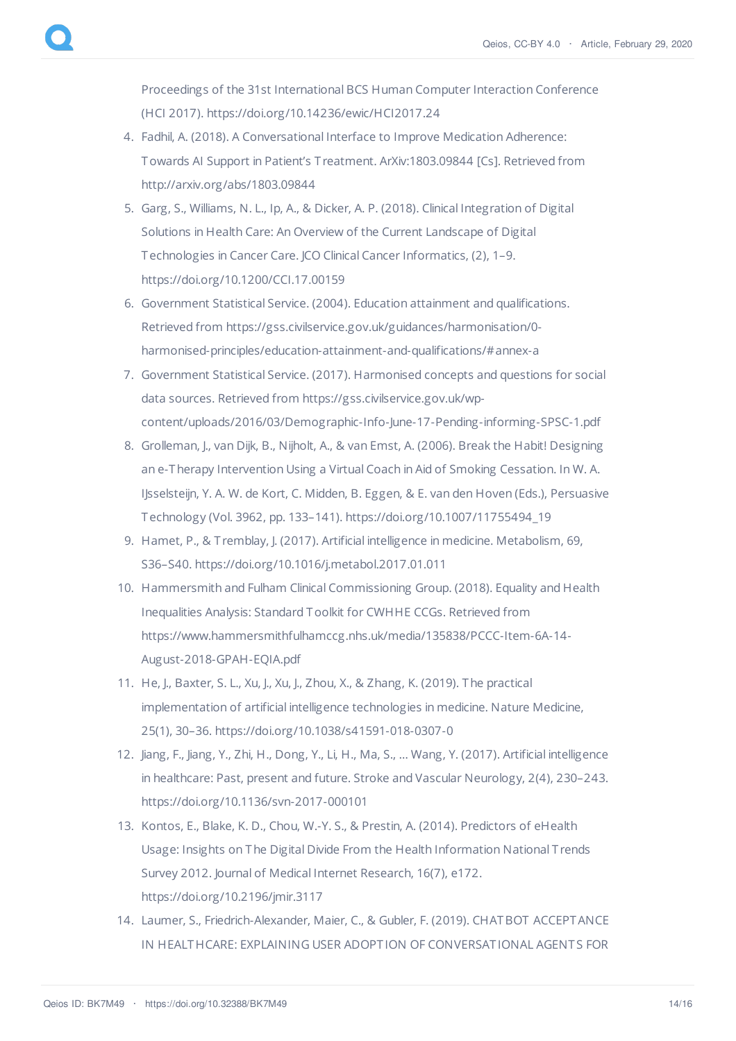Proceedings of the 31st International BCS Human Computer Interaction Conference (HCI 2017). https://doi.org/10.14236/ewic/HCI2017.24

- 4. Fadhil, A. (2018). A Conversational Interface to Improve Medication Adherence: Towards AI Support in Patient's T reatment. ArXiv:1803.09844 [Cs]. Retrieved from http://arxiv.org/abs/1803.09844
- 5. Garg, S., Williams, N. L., Ip, A., & Dicker, A. P. (2018). Clinical Integration of Digital Solutions in Health Care: An Overview of the Current Landscape of Digital Technologies in Cancer Care. JCO Clinical Cancer Informatics, (2), 1–9. https://doi.org/10.1200/CCI.17.00159
- 6. Government Statistical Service. (2004). Education attainment and qualifications. Retrieved from https://gss.civilservice.gov.uk/guidances/harmonisation/0 harmonised-principles/education-attainment-and-qualifications/#annex-a
- 7. Government Statistical Service. (2017). Harmonised concepts and questions for social data sources. Retrieved from https://gss.civilservice.gov.uk/wpcontent/uploads/2016/03/Demographic-Info-June-17-Pending-informing-SPSC-1.pdf
- 8. Grolleman, J., van Dijk, B., Nijholt, A., & van Emst, A. (2006). Break the Habit! Designing an e-Therapy Intervention Using a Virtual Coach in Aid of Smoking Cessation. In W. A. IJsselsteijn, Y. A. W. de Kort, C. Midden, B. Eggen, & E. van den Hoven (Eds.), Persuasive Technology (Vol. 3962, pp. 133–141). https://doi.org/10.1007/11755494\_19
- 9. Hamet, P., & T remblay, J. (2017). Artificial intelligence in medicine. Metabolism, 69, S36–S40. https://doi.org/10.1016/j.metabol.2017.01.011
- 10. Hammersmith and Fulham Clinical Commissioning Group. (2018). Equality and Health Inequalities Analysis: Standard Toolkit for CWHHE CCGs. Retrieved from https://www.hammersmithfulhamccg.nhs.uk/media/135838/PCCC-Item-6A-14- August-2018-GPAH-EQIA.pdf
- 11. He, J., Baxter, S. L., Xu, J., Xu, J., Zhou, X., & Zhang, K. (2019). The practical implementation of artificial intelligence technologies in medicine. Nature Medicine, 25(1), 30–36. https://doi.org/10.1038/s41591-018-0307-0
- 12. Jiang, F., Jiang, Y., Zhi, H., Dong, Y., Li, H., Ma, S., … Wang, Y. (2017). Artificial intelligence in healthcare: Past, present and future. Stroke and Vascular Neurology, 2(4), 230–243. https://doi.org/10.1136/svn-2017-000101
- 13. Kontos, E., Blake, K. D., Chou, W.-Y. S., & Prestin, A. (2014). Predictors of eHealth Usage: Insights on The Digital Divide From the Health Information National T rends Survey 2012. Journal of Medical Internet Research, 16(7), e172. https://doi.org/10.2196/jmir.3117
- 14. Laumer, S., Friedrich-Alexander, Maier, C., & Gubler, F. (2019). CHATBOT ACCEPTANCE IN HEALTHCARE: EXPLAINING USER ADOPTION OF CONVERSATIONAL AGENTS FOR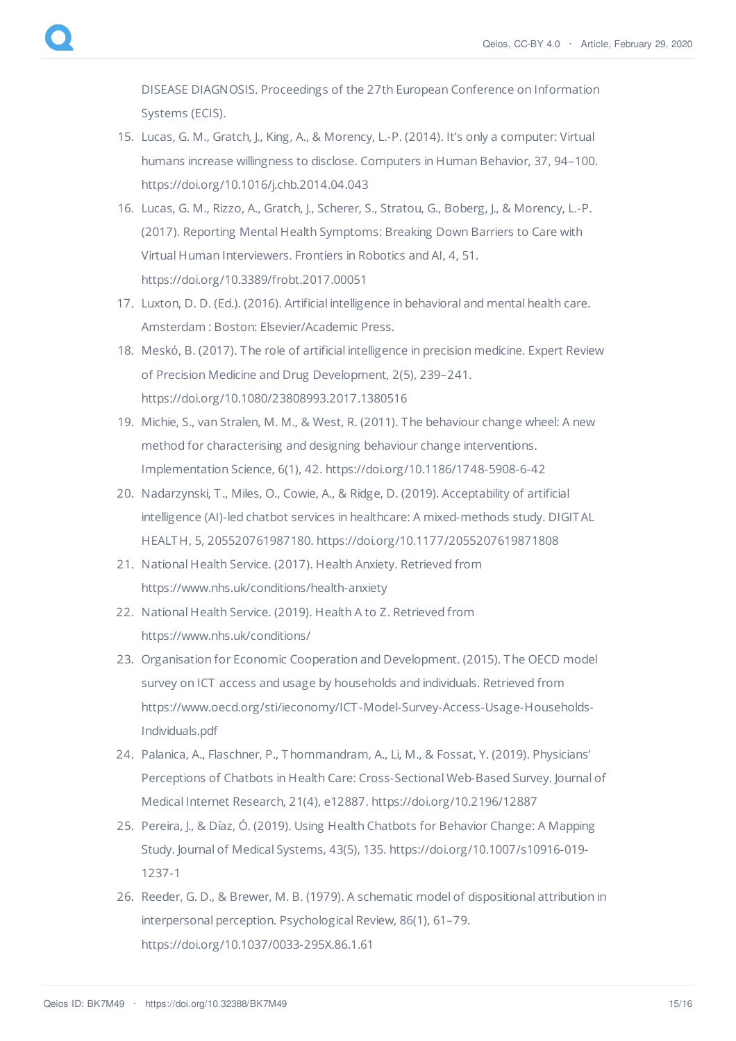DISEASE DIAGNOSIS. Proceedings of the 27th European Conference on Information Systems (ECIS).

- 15. Lucas, G. M., Gratch, J., King, A., & Morency, L.-P. (2014). It's only a computer: Virtual humans increase willingness to disclose. Computers in Human Behavior, 37, 94–100. https://doi.org/10.1016/j.chb.2014.04.043
- 16. Lucas, G. M., Rizzo, A., Gratch, J., Scherer, S., Stratou, G., Boberg, J., & Morency, L.-P. (2017). Reporting Mental Health Symptoms: Breaking Down Barriers to Care with Virtual Human Interviewers. Frontiers in Robotics and AI, 4, 51. https://doi.org/10.3389/frobt.2017.00051
- 17. Luxton, D. D. (Ed.). (2016). Artificial intelligence in behavioral and mental health care. Amsterdam : Boston: Elsevier/Academic Press.
- 18. Meskó, B. (2017). The role of artificial intelligence in precision medicine. Expert Review of Precision Medicine and Drug Development, 2(5), 239–241. https://doi.org/10.1080/23808993.2017.1380516
- 19. Michie, S., van Stralen, M. M., & West, R. (2011). The behaviour change wheel: A new method for characterising and designing behaviour change interventions. Implementation Science, 6(1), 42. https://doi.org/10.1186/1748-5908-6-42
- 20. Nadarzynski, T ., Miles, O., Cowie, A., & Ridge, D. (2019). Acceptability of artificial intelligence (AI)-led chatbot services in healthcare: A mixed-methods study. DIGITAL HEALTH, 5, 205520761987180. https://doi.org/10.1177/2055207619871808
- 21. National Health Service. (2017). Health Anxiety. Retrieved from https://www.nhs.uk/conditions/health-anxiety
- 22. National Health Service. (2019). Health A to Z. Retrieved from https://www.nhs.uk/conditions/
- 23. Organisation for Economic Cooperation and Development. (2015). The OECD model survey on ICT access and usage by households and individuals. Retrieved from https://www.oecd.org/sti/ieconomy/ICT -Model-Survey-Access-Usage-Households-Individuals.pdf
- 24. Palanica, A., Flaschner, P., Thommandram, A., Li, M., & Fossat, Y. (2019). Physicians' Perceptions of Chatbots in Health Care: Cross-Sectional Web-Based Survey. Journal of Medical Internet Research, 21(4), e12887. https://doi.org/10.2196/12887
- 25. Pereira, J., & Díaz, Ó. (2019). Using Health Chatbots for Behavior Change: A Mapping Study. Journal of Medical Systems, 43(5), 135. https://doi.org/10.1007/s10916-019- 1237-1
- 26. Reeder, G. D., & Brewer, M. B. (1979). A schematic model of dispositional attribution in interpersonal perception. Psychological Review, 86(1), 61–79. https://doi.org/10.1037/0033-295X.86.1.61